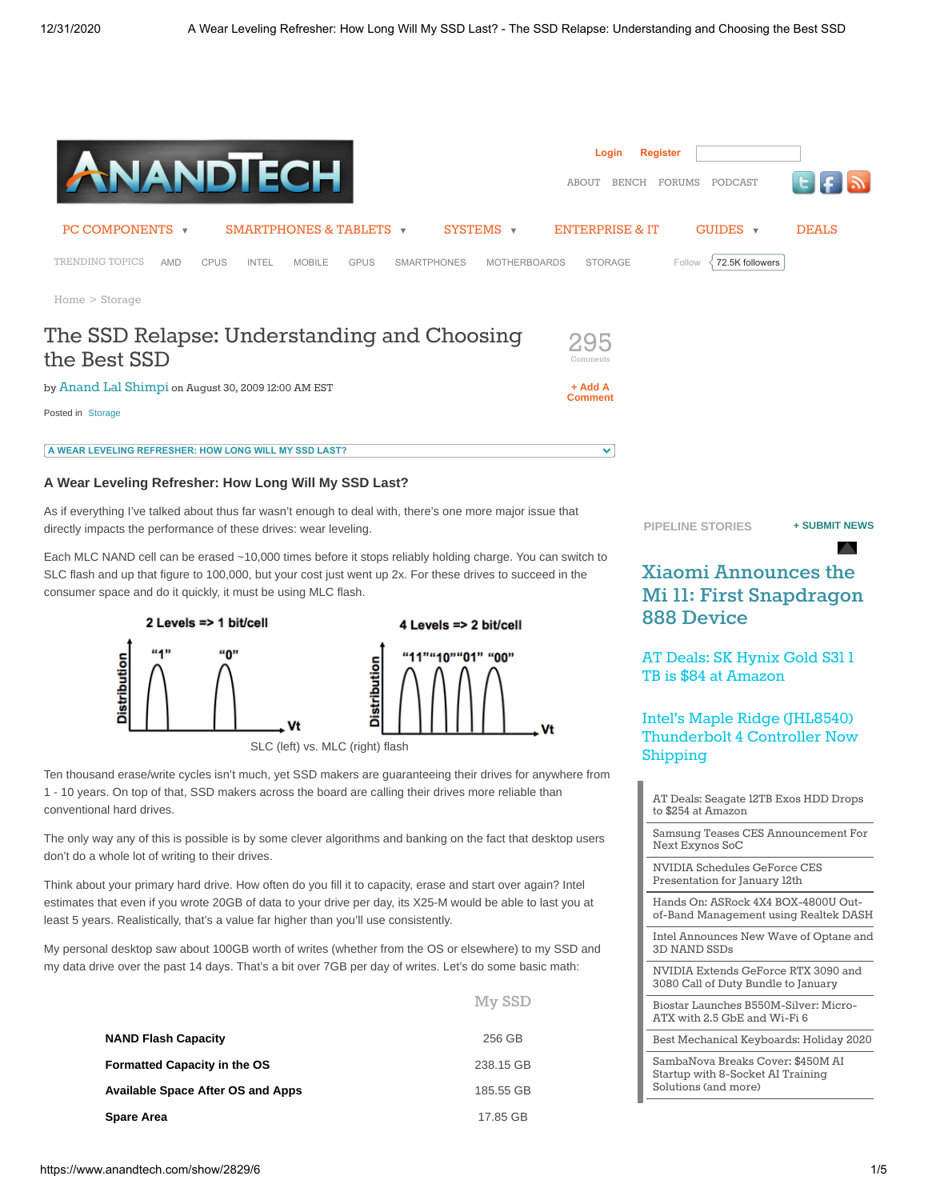

 $M_{\text{max}}$  CCD

#### **A Wear Leveling Refresher: How Long Will My SSD Last?**

As if everything I've talked about thus far wasn't enough to deal with, there's one more major issue that directly impacts the performance of these drives: wear leveling.

Each MLC NAND cell can be erased ~10,000 times before it stops reliably holding charge. You can switch to SLC flash and up that figure to 100,000, but your cost just went up 2x. For these drives to succeed in the consumer space and do it quickly, it must be using MLC flash.



Ten thousand erase/write cycles isn't much, yet SSD makers are guaranteeing their drives for anywhere from 1 - 10 years. On top of that, SSD makers across the board are calling their drives more reliable than conventional hard drives.

The only way any of this is possible is by some clever algorithms and banking on the fact that desktop users don't do a whole lot of writing to their drives.

Think about your primary hard drive. How often do you fill it to capacity, erase and start over again? Intel estimates that even if you wrote 20GB of data to your drive per day, its X25-M would be able to last you at least 5 years. Realistically, that's a value far higher than you'll use consistently.

My personal desktop saw about 100GB worth of writes (whether from the OS or elsewhere) to my SSD and my data drive over the past 14 days. That's a bit over 7GB per day of writes. Let's do some basic math:

|                                          | TATA PPT  |
|------------------------------------------|-----------|
| <b>NAND Flash Capacity</b>               | 256 GB    |
| <b>Formatted Capacity in the OS</b>      | 238.15 GB |
| <b>Available Space After OS and Apps</b> | 185.55 GB |
| <b>Spare Area</b>                        | 17.85 GB  |

**[PIPELINE STORIES](https://www.anandtech.com/pipeline) [+ SUBMIT NEWS](mailto:tips@anandtech.com)**

## **Xiaomi Announces the [Mi 11: First Snapdragon](https://www.anandtech.com/show/16339/xiaomi-announces-mi11-first-snapdragon-888-device) 888 Device**

[AT Deals: SK Hynix Gold S31 1](https://www.anandtech.com/show/16337/at-deals-sk-hynix-gold-s31-1tb-is-84-at-amazon) TB is \$84 at Amazon

### Intel's Maple Ridge (JHL8540) [Thunderbolt 4 Controller Now](https://www.anandtech.com/show/16333/intel-maple-ridge-thunderbolt-4-controller-now-shipping) Shipping

[AT Deals: Seagate 12TB Exos HDD Drops](https://www.anandtech.com/show/16332/at-deals-seagate-12tb-hdd-drops-to-254-at-amazon) to \$254 at Amazon [Samsung Teases CES Announcement For](https://www.anandtech.com/show/16326/samsung-teases-ces-announcement-for-next-exynos-soc) Next Exynos SoC [NVIDIA Schedules GeForce CES](https://www.anandtech.com/show/16321/nvidia-schedules-geforce-ces-presentation-for-january-12th) Presentation for January 12th Hands On: ASRock 4X4 BOX-4800U Out[of-Band Management using Realtek DASH](https://www.anandtech.com/show/16319/asrock-4x4-box4800u-outofband-management-using-realtek-dash) [Intel Announces New Wave of Optane and](https://www.anandtech.com/show/16318/intel-announces-new-wave-of-optane-and-3d-nand-ssds) 3D NAND SSDs [NVIDIA Extends GeForce RTX 3090 and](https://www.anandtech.com/show/16320/nvidia-extends-geforce-rtx-3090-and-3080-call-of-duty-bundle-to-january) 3080 Call of Duty Bundle to January [Biostar Launches B550M-Silver: Micro-](https://www.anandtech.com/show/16313/biostar-launches-b550msilver-microatx-with-25-gbe-and-wifi-6)ATX with 2.5 GbE and Wi-Fi 6 [Best Mechanical Keyboards: Holiday 2020](https://www.anandtech.com/show/12061/best-mechanical-keyboards) [SambaNova Breaks Cover: \\$450M AI](https://www.anandtech.com/show/16286/sambanova-breaks-cover-450m-ai-startup-with-8socket-ai-training-solutions-and-more) Startup with 8-Socket AI Training Solutions (and more)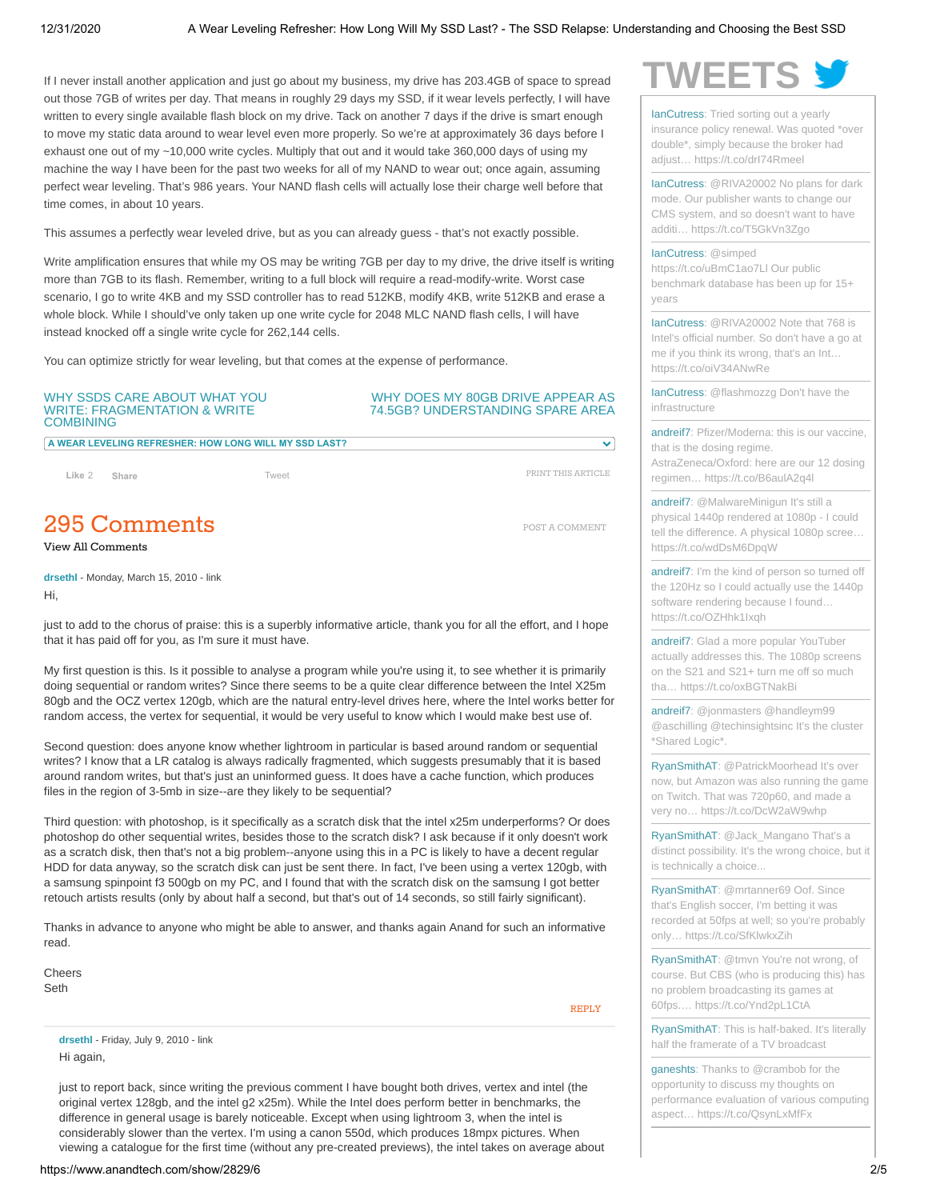If I never install another application and just go about my business, my drive has 203.4GB of space to spread out those 7GB of writes per day. That means in roughly 29 days my SSD, if it wear levels perfectly, I will have written to every single available flash block on my drive. Tack on another 7 days if the drive is smart enough to move my static data around to wear level even more properly. So we're at approximately 36 days before I exhaust one out of my ~10,000 write cycles. Multiply that out and it would take 360,000 days of using my machine the way I have been for the past two weeks for all of my NAND to wear out; once again, assuming perfect wear leveling. That's 986 years. Your NAND flash cells will actually lose their charge well before that time comes, in about 10 years.

This assumes a perfectly wear leveled drive, but as you can already guess - that's not exactly possible.

Write amplification ensures that while my OS may be writing 7GB per day to my drive, the drive itself is writing more than 7GB to its flash. Remember, writing to a full block will require a read-modify-write. Worst case scenario, I go to write 4KB and my SSD controller has to read 512KB, modify 4KB, write 512KB and erase a whole block. While I should've only taken up one write cycle for 2048 MLC NAND flash cells, I will have instead knocked off a single write cycle for 262,144 cells.

You can optimize strictly for wear leveling, but that comes at the expense of performance.

#### [WHY SSDS CARE ABOUT WHAT YOU](https://www.anandtech.com/show/2829/5) WRITE: FRAGMENTATION & WRITE **COMBINING**

### [WHY DOES MY 80GB DRIVE APPEAR AS](https://www.anandtech.com/show/2829/7) 74.5GB? UNDERSTANDING SPARE AREA

[PRINT THIS ARTICLE](https://www.anandtech.com/print/2829/)

Ŷ.

[POST A COMMENT](https://www.anandtech.com/Comment/NewComment/2829?page=6&commentPage=1&showAllComments=False)

**A WEAR LEVELING REFRESHER: HOW LONG WILL MY SSD LAST?**

**Like** 2 **[Share](https://www.facebook.com/sharer/sharer.php?u=http%3A%2F%2Fwww.anandtech.com%2Fshow%2F2829&display=popup&ref=plugin&src=like&kid_directed_site=0&app_id=201944423199922)** [Tweet](https://twitter.com/intent/tweet?original_referer=https%3A%2F%2Fwww.anandtech.com%2F&ref_src=twsrc%5Etfw&text=A%20Wear%20Leveling%20Refresher%3A%20How%20Long%20Will%20My%20SSD%20Last%3F%20-%20The%20SSD%20Relapse%3A%20Understanding%20and%20Choosing%20the%20Best%20SSD&tw_p=tweetbutton&url=https%3A%2F%2Fwww.anandtech.com%2Fshow%2F2829%2F6)

<span id="page-1-0"></span>295 Comments

[View All Comments](https://www.anandtech.com/comments/2829/)

**drsethl** - Monday, March 15, 2010 - [link](https://www.anandtech.com/comments/2829//63626) Hi,

just to add to the chorus of praise: this is a superbly informative article, thank you for all the effort, and I hope that it has paid off for you, as I'm sure it must have.

My first question is this. Is it possible to analyse a program while you're using it, to see whether it is primarily doing sequential or random writes? Since there seems to be a quite clear difference between the Intel X25m 80gb and the OCZ vertex 120gb, which are the natural entry-level drives here, where the Intel works better for random access, the vertex for sequential, it would be very useful to know which I would make best use of.

Second question: does anyone know whether lightroom in particular is based around random or sequential writes? I know that a LR catalog is always radically fragmented, which suggests presumably that it is based around random writes, but that's just an uninformed guess. It does have a cache function, which produces files in the region of 3-5mb in size--are they likely to be sequential?

Third question: with photoshop, is it specifically as a scratch disk that the intel x25m underperforms? Or does photoshop do other sequential writes, besides those to the scratch disk? I ask because if it only doesn't work as a scratch disk, then that's not a big problem--anyone using this in a PC is likely to have a decent regular HDD for data anyway, so the scratch disk can just be sent there. In fact, I've been using a vertex 120gb, with a samsung spinpoint f3 500gb on my PC, and I found that with the scratch disk on the samsung I got better retouch artists results (only by about half a second, but that's out of 14 seconds, so still fairly significant).

Thanks in advance to anyone who might be able to answer, and thanks again Anand for such an informative read.

Cheers Seth

[REPLY](https://www.anandtech.com/Comment/NewComment/2829?page=6&commentPage=1&parentCommentId=63626&showAllComments=False)

**drsethl** - Friday, July 9, 2010 - [link](https://www.anandtech.com/comments/2829//118612) Hi again,

just to report back, since writing the previous comment I have bought both drives, vertex and intel (the original vertex 128gb, and the intel g2 x25m). While the Intel does perform better in benchmarks, the difference in general usage is barely noticeable. Except when using lightroom 3, when the intel is considerably slower than the vertex. I'm using a canon 550d, which produces 18mpx pictures. When viewing a catalogue for the first time (without any pre-created previews), the intel takes on average about



[IanCutress:](https://twitter.com/IanCutress) Tried sorting out a yearly [insurance policy renewal. Was quoted \\*over](https://twitter.com/IanCutress/status/1344630564863832065) double\*, simply because the broker had adjust… https://t.co/drI74Rmeel

[IanCutress: @RIVA20002 No plans for dark](https://twitter.com/IanCutress/status/1344620860091621377) mode. Our publisher wants to change our CMS system, and so doesn't want to have additi… https://t.co/T5GkVn3Zgo

[IanCutress:](https://twitter.com/IanCutress) @simped

https://t.co/uBmC1ao7Ll Our public [benchmark database has been up for 15+](https://twitter.com/IanCutress/status/1344607804330545152) years

[IanCutress:](https://twitter.com/IanCutress) @RIVA20002 Note that 768 is [Intel's official number. So don't have a go at](https://twitter.com/IanCutress/status/1344589301233963008) me if you think its wrong, that's an Int… https://t.co/oiV34ANwRe

[IanCutress](https://twitter.com/IanCutress)[: @flashmozzg Don't have the](https://twitter.com/IanCutress/status/1344587917977645057) infrastructure

[andreif7](https://twitter.com/andreif7)[: Pfizer/Moderna: this is our vaccine,](https://twitter.com/andreif7/status/1344416732312719361) that is the dosing regime. AstraZeneca/Oxford: here are our 12 dosing regimen… https://t.co/B6aulA2q4l

[andreif7:](https://twitter.com/andreif7) @MalwareMinigun It's still a physical 1440p rendered at 1080p - I could [tell the difference. A physical 1080p scree…](https://twitter.com/andreif7/status/1344402428934938625) https://t.co/wdDsM6DpqW

[andreif7](https://twitter.com/andreif7)[: I'm the kind of person so turned off](https://twitter.com/andreif7/status/1344388583503884288) the 120Hz so I could actually use the 1440p software rendering because I found… https://t.co/OZHhk1Ixqh

[andreif7:](https://twitter.com/andreif7) Glad a more popular YouTuber [actually addresses this. The 1080p screens](https://twitter.com/andreif7/status/1344388106246627329) on the S21 and S21+ turn me off so much tha… https://t.co/oxBGTNakBi

[andreif7:](https://twitter.com/andreif7) @jonmasters @handleym99 [@aschilling @techinsightsinc It's the cluster](https://twitter.com/andreif7/status/1343301448566767621) \*Shared Logic\*.

[RyanSmithAT:](https://twitter.com/RyanSmithAT) @PatrickMoorhead It's over [now, but Amazon was also running the game](https://twitter.com/RyanSmithAT/status/1342994694603644928) on Twitch. That was 720p60, and made a very no… https://t.co/DcW2aW9whp

[RyanSmithAT:](https://twitter.com/RyanSmithAT) @Jack\_Mangano That's a [distinct possibility. It's the wrong choice, but it](https://twitter.com/RyanSmithAT/status/1342992433517187078) is technically a choice...

[RyanSmithAT:](https://twitter.com/RyanSmithAT) @mrtanner69 Oof. Since that's English soccer, I'm betting it was [recorded at 50fps at well; so you're probably](https://twitter.com/RyanSmithAT/status/1342982482191286272) only… https://t.co/SfKlwkxZih

[RyanSmithAT:](https://twitter.com/RyanSmithAT) @tmvn You're not wrong, of [course. But CBS \(who is producing this\) has](https://twitter.com/RyanSmithAT/status/1342982213659361282) no problem broadcasting its games at 60fps.… https://t.co/Ynd2pL1CtA

[RyanSmithAT](https://twitter.com/RyanSmithAT)[: This is half-baked. It's literally](https://twitter.com/RyanSmithAT/status/1342980499879280640) half the framerate of a TV broadcast

[ganeshts](https://twitter.com/ganeshts): Thanks to @crambob for the opportunity to discuss my thoughts on [performance evaluation of various computing](https://twitter.com/ganeshts/status/1336883971901124609) aspect… https://t.co/QsynLxMfFx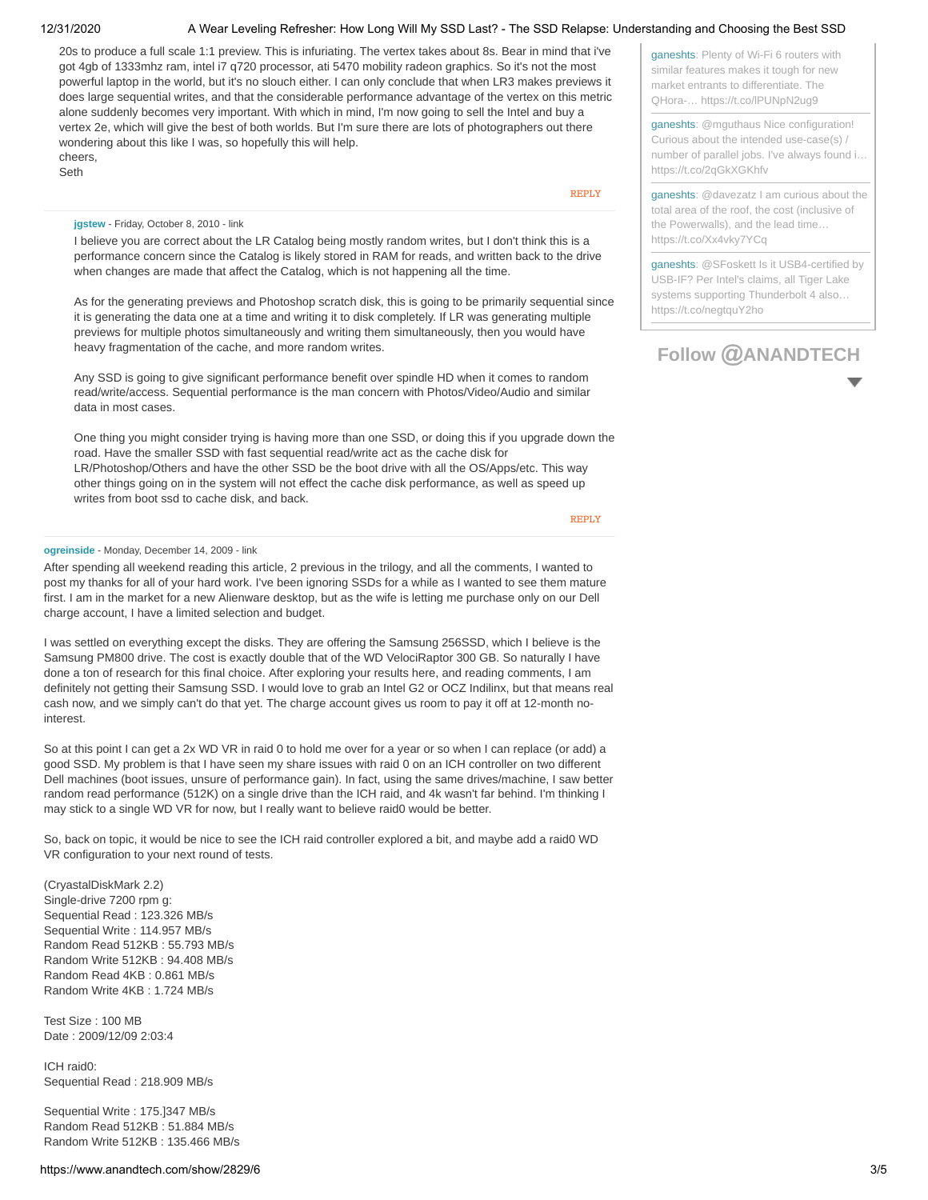### 12/31/2020 A Wear Leveling Refresher: How Long Will My SSD Last? - The SSD Relapse: Understanding and Choosing the Best SSD

20s to produce a full scale 1:1 preview. This is infuriating. The vertex takes about 8s. Bear in mind that i've got 4gb of 1333mhz ram, intel i7 q720 processor, ati 5470 mobility radeon graphics. So it's not the most powerful laptop in the world, but it's no slouch either. I can only conclude that when LR3 makes previews it does large sequential writes, and that the considerable performance advantage of the vertex on this metric alone suddenly becomes very important. With which in mind, I'm now going to sell the Intel and buy a vertex 2e, which will give the best of both worlds. But I'm sure there are lots of photographers out there wondering about this like I was, so hopefully this will help. cheers,

Seth

[REPLY](https://www.anandtech.com/Comment/NewComment/2829?page=6&commentPage=1&parentCommentId=118612&showAllComments=False)

#### **jgstew** - Friday, October 8, 2010 - [link](https://www.anandtech.com/comments/2829//136251)

I believe you are correct about the LR Catalog being mostly random writes, but I don't think this is a performance concern since the Catalog is likely stored in RAM for reads, and written back to the drive when changes are made that affect the Catalog, which is not happening all the time.

As for the generating previews and Photoshop scratch disk, this is going to be primarily sequential since it is generating the data one at a time and writing it to disk completely. If LR was generating multiple previews for multiple photos simultaneously and writing them simultaneously, then you would have heavy fragmentation of the cache, and more random writes.

Any SSD is going to give significant performance benefit over spindle HD when it comes to random read/write/access. Sequential performance is the man concern with Photos/Video/Audio and similar data in most cases.

One thing you might consider trying is having more than one SSD, or doing this if you upgrade down the road. Have the smaller SSD with fast sequential read/write act as the cache disk for LR/Photoshop/Others and have the other SSD be the boot drive with all the OS/Apps/etc. This way other things going on in the system will not effect the cache disk performance, as well as speed up writes from boot ssd to cache disk, and back.

[REPLY](https://www.anandtech.com/Comment/NewComment/2829?page=6&commentPage=1&parentCommentId=136251&showAllComments=False)

#### **ogreinside** - Monday, December 14, 2009 - [link](https://www.anandtech.com/comments/2829//63628)

After spending all weekend reading this article, 2 previous in the trilogy, and all the comments, I wanted to post my thanks for all of your hard work. I've been ignoring SSDs for a while as I wanted to see them mature first. I am in the market for a new Alienware desktop, but as the wife is letting me purchase only on our Dell charge account, I have a limited selection and budget.

I was settled on everything except the disks. They are offering the Samsung 256SSD, which I believe is the Samsung PM800 drive. The cost is exactly double that of the WD VelociRaptor 300 GB. So naturally I have done a ton of research for this final choice. After exploring your results here, and reading comments, I am definitely not getting their Samsung SSD. I would love to grab an Intel G2 or OCZ Indilinx, but that means real cash now, and we simply can't do that yet. The charge account gives us room to pay it off at 12-month nointerest.

So at this point I can get a 2x WD VR in raid 0 to hold me over for a year or so when I can replace (or add) a good SSD. My problem is that I have seen my share issues with raid 0 on an ICH controller on two different Dell machines (boot issues, unsure of performance gain). In fact, using the same drives/machine, I saw better random read performance (512K) on a single drive than the ICH raid, and 4k wasn't far behind. I'm thinking I may stick to a single WD VR for now, but I really want to believe raid0 would be better.

So, back on topic, it would be nice to see the ICH raid controller explored a bit, and maybe add a raid0 WD VR configuration to your next round of tests.

(CryastalDiskMark 2.2) Single-drive 7200 rpm g: Sequential Read : 123.326 MB/s Sequential Write : 114.957 MB/s Random Read 512KB : 55.793 MB/s Random Write 512KB : 94.408 MB/s Random Read 4KB : 0.861 MB/s Random Write 4KB : 1.724 MB/s

Test Size : 100 MB Date : 2009/12/09 2:03:4

ICH raid0: Sequential Read : 218.909 MB/s

Sequential Write : 175.]347 MB/s Random Read 512KB : 51.884 MB/s Random Write 512KB : 135.466 MB/s [ganesht](https://twitter.com/ganeshts)[s: Plenty of Wi-Fi 6 routers with](https://twitter.com/ganeshts/status/1333832325809860611) similar features makes it tough for new market entrants to differentiate. The QHora-… https://t.co/lPUNpN2ug9

[ganeshts](https://twitter.com/ganeshts): @mguthaus Nice configuration! Curious about the intended use-case(s) / [number of parallel jobs. I've always found i…](https://twitter.com/ganeshts/status/1331351546055905280) https://t.co/2qGkXGKhfv

[ganesht](https://twitter.com/ganeshts)[s: @davezatz I am curious about the](https://twitter.com/ganeshts/status/1331309208713580549) total area of the roof, the cost (inclusive of the Powerwalls), and the lead time… https://t.co/Xx4vky7YCq

[ganesht](https://twitter.com/ganeshts)[s: @SFoskett Is it USB4-certified by](https://twitter.com/ganeshts/status/1329514172665589760) USB-IF? Per Intel's claims, all Tiger Lake systems supporting Thunderbolt 4 also… https://t.co/negtquY2ho

# **Follow @[ANANDTECH](http://twitter.com/anandtech)**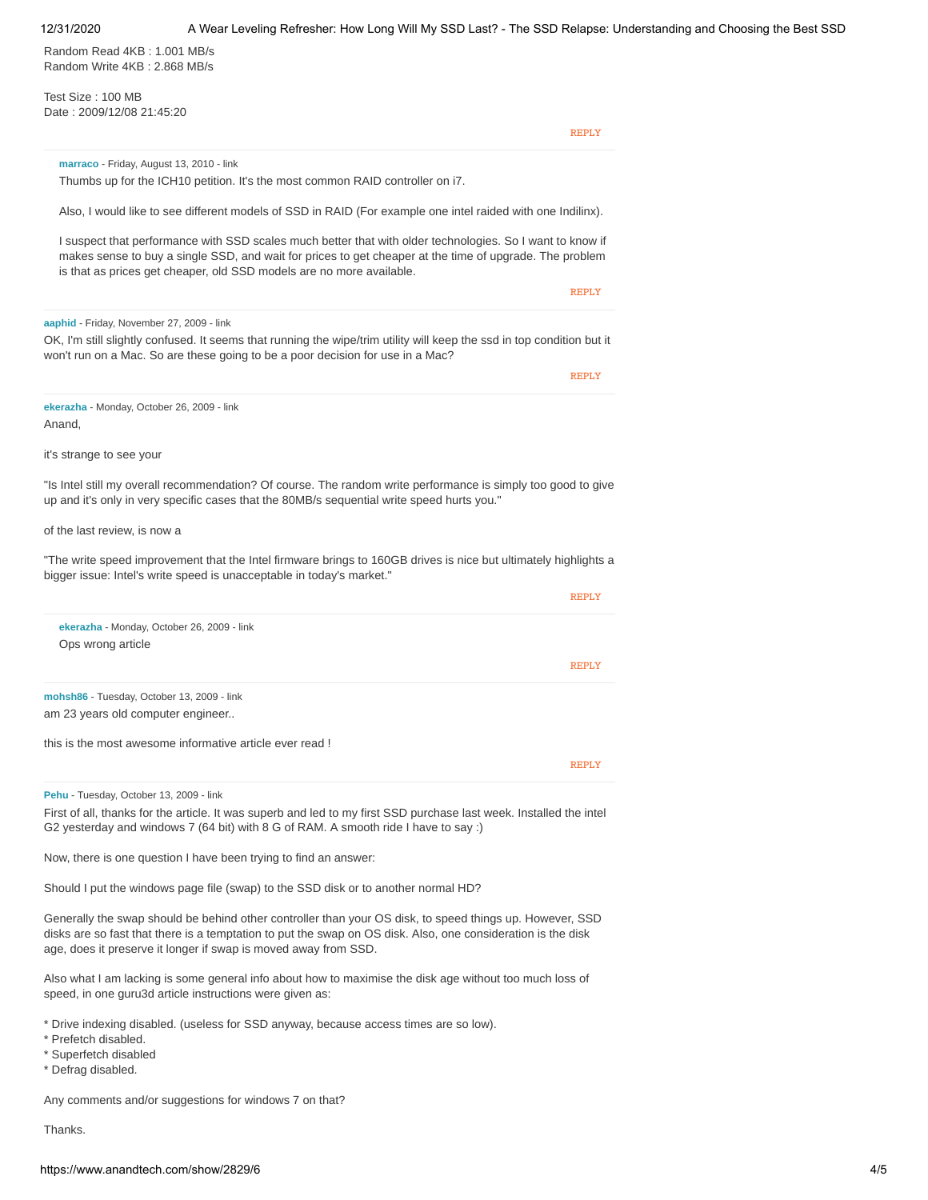Random Read 4KB : 1.001 MB/s Random Write 4KB : 2.868 MB/s

Test Size : 100 MB Date : 2009/12/08 21:45:20

[REPLY](https://www.anandtech.com/Comment/NewComment/2829?page=6&commentPage=1&parentCommentId=63628&showAllComments=False)

#### **marraco** - Friday, August 13, 2010 - [link](https://www.anandtech.com/comments/2829//125221)

Thumbs up for the ICH10 petition. It's the most common RAID controller on i7.

Also, I would like to see different models of SSD in RAID (For example one intel raided with one Indilinx).

I suspect that performance with SSD scales much better that with older technologies. So I want to know if makes sense to buy a single SSD, and wait for prices to get cheaper at the time of upgrade. The problem is that as prices get cheaper, old SSD models are no more available.

**[REPLY](https://www.anandtech.com/Comment/NewComment/2829?page=6&commentPage=1&parentCommentId=125221&showAllComments=False)** 

#### **aaphid** - Friday, November 27, 2009 - [link](https://www.anandtech.com/comments/2829//63629)

OK, I'm still slightly confused. It seems that running the wipe/trim utility will keep the ssd in top condition but it won't run on a Mac. So are these going to be a poor decision for use in a Mac?

[REPLY](https://www.anandtech.com/Comment/NewComment/2829?page=6&commentPage=1&parentCommentId=63629&showAllComments=False)

**[REPLY](https://www.anandtech.com/Comment/NewComment/2829?page=6&commentPage=1&parentCommentId=63638&showAllComments=False)** 

**ekerazha** - Monday, October 26, 2009 - [link](https://www.anandtech.com/comments/2829//63638) Anand,

it's strange to see your

"Is Intel still my overall recommendation? Of course. The random write performance is simply too good to give up and it's only in very specific cases that the 80MB/s sequential write speed hurts you."

#### of the last review, is now a

"The write speed improvement that the Intel firmware brings to 160GB drives is nice but ultimately highlights a bigger issue: Intel's write speed is unacceptable in today's market."

| ekerazha - Monday, October 26, 2009 - link                                                                                                                                                                 |              |
|------------------------------------------------------------------------------------------------------------------------------------------------------------------------------------------------------------|--------------|
| Ops wrong article                                                                                                                                                                                          |              |
|                                                                                                                                                                                                            | <b>REPLY</b> |
| mohsh86 - Tuesday, October 13, 2009 - link                                                                                                                                                                 |              |
| am 23 years old computer engineer                                                                                                                                                                          |              |
| this is the most awesome informative article ever read !                                                                                                                                                   |              |
|                                                                                                                                                                                                            | <b>REPLY</b> |
| Pehu - Tuesday, October 13, 2009 - link                                                                                                                                                                    |              |
| First of all, thanks for the article. It was superb and led to my first SSD purchase last week. Installed the intel<br>G2 yesterday and windows 7 (64 bit) with 8 G of RAM. A smooth ride I have to say :) |              |

Now, there is one question I have been trying to find an answer:

Should I put the windows page file (swap) to the SSD disk or to another normal HD?

Generally the swap should be behind other controller than your OS disk, to speed things up. However, SSD disks are so fast that there is a temptation to put the swap on OS disk. Also, one consideration is the disk age, does it preserve it longer if swap is moved away from SSD.

Also what I am lacking is some general info about how to maximise the disk age without too much loss of speed, in one guru3d article instructions were given as:

\* Drive indexing disabled. (useless for SSD anyway, because access times are so low).

\* Prefetch disabled.

\* Superfetch disabled

\* Defrag disabled.

Any comments and/or suggestions for windows 7 on that?

Thanks.